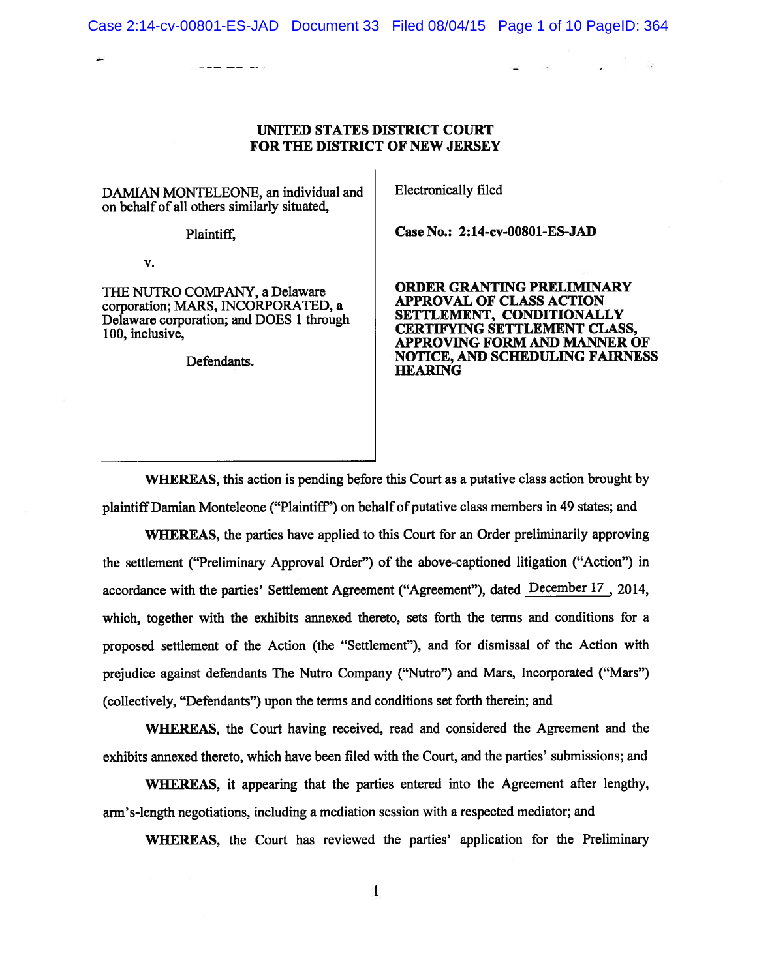# UNITED STATES DISTRICT COURT FOR THE DISTRICT OF NEW JERSEY

DAMIAN MONTELEONE, an individual and Electronically filed on behalf of all others similarly situated,

 $\sim$   $\sim$   $\sim$   $\sim$   $\sim$   $\sim$   $\sim$ 

V.

corporation; MARS, INCORPORATED, a **APPROVAL OF CLASS ACTION**<br>Delayare corporation; and DOES 1 through **SETTLEMENT, CONDITIONALLY** Delaware corporation; and DOES 1 through SETTLEMENT, CONDITIONALLY<br>100, inclusive.

Plaintiff. **Case No.: 2:14-cv-00801-ES-JAD** 

THE NUTRO COMPANY, a Delaware **ORDER GRANTING PRELIMINARY**<br> **ORDER GRANTING PRELIMINARY** APPROVING FORM AND MANNER OF Defendants. NOTICE, AND SCHEDULING FAIRNESS<br>HEARING

WHEREAS, this action is pending before this Court as a putative class action brought by plaintiff Damian Monteleone ("Plaintiff') on behalf of putative class members in 49 states; and

WhEREAS, the parties have applied to this Court for an Order preliminarily approving the settlement ("Preliminary Approval Order") of the above-captioned litigation ("Action") in accordance with the parties' Settlement Agreement ("Agreement"), dated December 17\_.2014, which, together with the exhibits annexed thereto, sets forth the terms and conditions for <sup>a</sup> proposed settlement of the Action (the "Settlement"), and for dismissal of the Action with prejudice against defendants The Nutro Company ("Nutro") and Mars, Incorporated ("Mars") (collectively, "Defendants") upon the terms and conditions set forth therein; and

WHEREAS, the Court having received, read and considered the Agreement and the exhibits annexed thereto, which have been filed with the Court, and the parties' submissions; and

'WHEREAS, it appearing that the parties entered into the Agreement after lengthy, arm's-length negotiations, including <sup>a</sup> mediation session with <sup>a</sup> respected mediator; and

WHEREAS, the Court has reviewed the parties' application for the Preliminary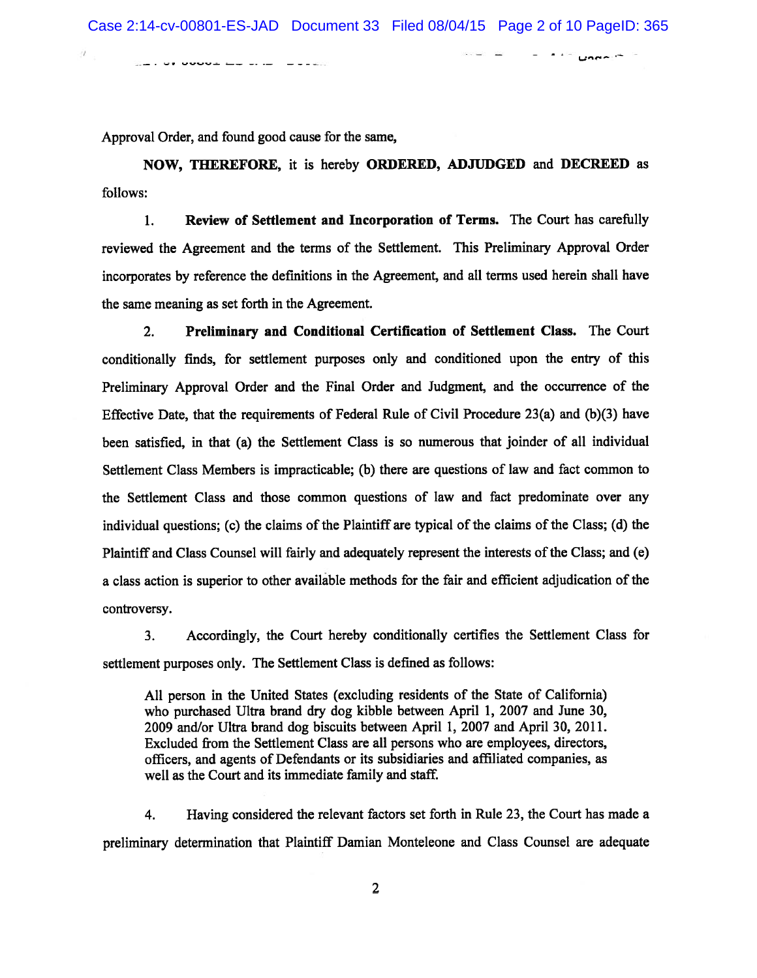$\cdot$   $-$ 

 $\equiv$ **Contract Contract** 

صيمون

Sin vr vvova mu prim "minist

Approval Order, and found good cause for the same,

NOW, THEREFORE, it is hereby ORDERED, ADJUDGED and DECREED as follows:

1. Review of Settlement and Incorporation of Terms. The Court has carefully reviewed the Agreement and the terms of the Settlement. This Preliminary Approval Order incorporates by reference the definitions in the Agreement, and all terms used herein shall have the same meaning as set forth in the Agreement.

2. Preliminary and Conditional Certification of Settlement Class. The Court conditionally finds, for settlement purposes only and conditioned upon the entry of this Preliminary Approval Order and the Final Order and Judgment, and the occurrence of the Effective Date, that the requirements of Federal Rule of Civil Procedure 23(a) and (b)(3) have been satisfied, in that (a) the Settlement Class is so numerous that joinder of all individual Settlement Class Members is impracticable; (b) there are questions of law and fact common to the Settlement Class and those common questions of law and fact predominate over any individual questions; (c) the claims of the Plaintiff are typical of the claims of the Class; (d) the Plaintiff and Class Counsel will fairly and adequately represen<sup>t</sup> the interests ofthe Class; and (e) <sup>a</sup> class action is superior to other available methods for the fair and efficient adjudication of the controversy.

3. Accordingly, the Court hereby conditionally certifies the Settlement Class for settlement purposes only. The Settlement Class is defined as follows:

All person in the United States (excluding residents of the State of California) who purchased Ultra brand dry dog kibble between April 1, 2007 and June 30, 2009 and/or Ultra brand dog biscuits between April 1, 2007 and April 30, 2011. Excluded from the Settlement Class are all persons who are employees, directors, officers, and agents of Defendants or its subsidiaries and affiliated companies, as well as the Court and its immediate family and staff.

4. Having considered the relevant factors set forth in Rule 23, the Court has made <sup>a</sup> preliminary determination that Plaintiff Damian Monteleone and Class Counsel are adequate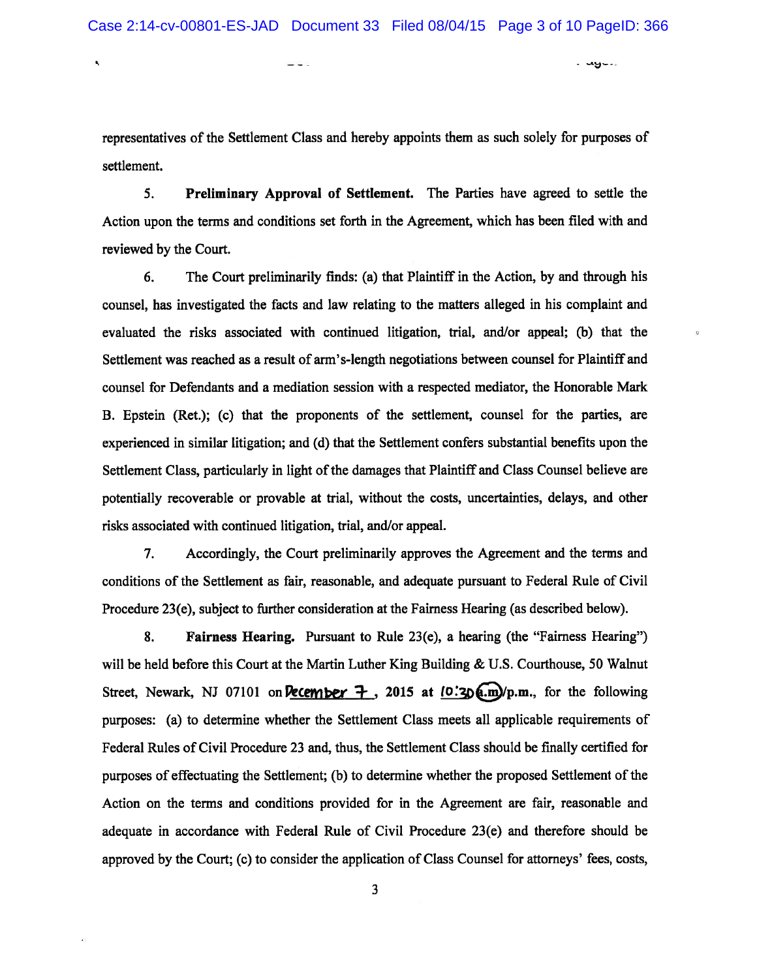. wg~..

Ŋ

representatives of the Settlement Class and hereby appoints them as such solely for purposes of settlement.

5. Preliminary Approval of Settlement. The Parties have agreed to settle the Action upon the terms and conditions set forth in the Agreement, which has been filed with and reviewed by the Court.

6. The Court preliminarily finds: (a) that Plaintiff in the Action, by and through his counsel, has investigated the facts and law relating to the matters alleged in his complaint and evaluated the risks associated with continued litigation, trial, and/or appeal; (b) that the Settlement was reached as <sup>a</sup> result of arm's-length negotiations between counsel for Plaintiff and counsel for Defendants and <sup>a</sup> mediation session with <sup>a</sup> respected mediator, the Honorable Mark B. Epstein (Ret.); (c) that the proponents of the settlement, counsel for the parties, are experienced in similar litigation; and (d) that the Settlement confers substantial benefits upon the Settlement Class, particularly in light of the damages that Plaintiff and Class Counsel believe are potentially recoverable or provable at trial, without the costs, uncertainties, delays, and other risks associated with continued litigation, trial, and/or appeal.

7. Accordingly, the Court preliminarily approves the Agreement and the terms and conditions of the Settlement as fair, reasonable, and adequate pursuan<sup>t</sup> to Federal Rule of Civil Procedure 23(e), subject to further consideration at the Fairness Hearing (as described below).

8. Fairness Hearing. Pursuant to Rule 23(e), <sup>a</sup> hearing (the "Fairness Hearing") will be held before this Court at the Martin Luther King Building & U.S. Courthouse, 50 Walnut Street, Newark, NJ 07101 on **December 7**, 2015 at  $[0.20 \text{ m}]$ /p.m., for the following purposes: (a) to determine whether the Settlement Class meets all applicable requirements of Federal Rules of Civil Procedure 23 and, thus, the Settlement Class should be finally certified for purposes of effectuating the Settlement; (b) to determine whether the proposed Settlement of the Action on the terms and conditions provided for in the Agreement are fair, reasonable and adequate in accordance with Federal Rule of Civil Procedure 23(e) and therefore should be approved by the Court; (c) to consider the application of Class Counsel for attorneys' fees, costs,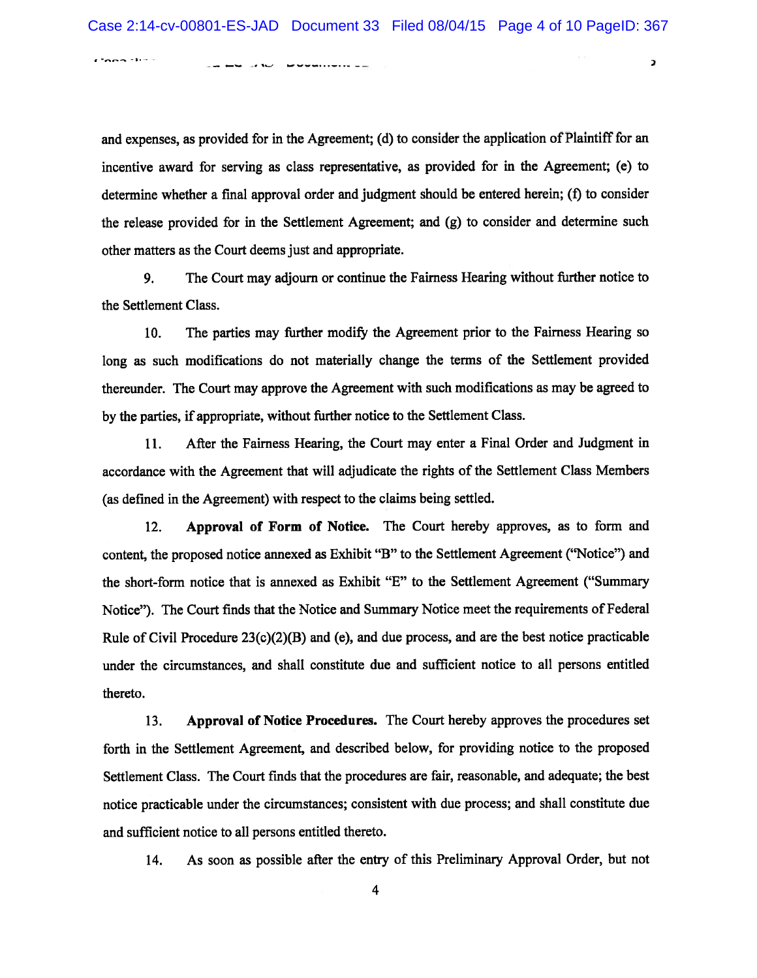)

CODA SUPER a ma shi ku mwandishi ya

and expenses, as provided for in the Agreement; (d) to consider the application of Plaintiff for an incentive award for serving as class representative, as provided for in the Agreement; (e) to determine whether <sup>a</sup> final approval order and judgment should be entered herein; (f) to consider the release provided for in the Settlement Agreement; and (g) to consider and determine such other matters as the Court deems just and appropriate.

9. The Court may adjourn or continue the Fairness Hearing without further notice to the Settlement Class.

10. The parties may further modify the Agreement prior to the Fairness Hearing so long as such modifications do not materially change the terms of the Settlement provided thereunder. The Court may approve the Agreement with such modifications as may be agreed to by the parties, if appropriate, without further notice to the Settlement Class.

11. After the Fairness Hearing, the Court may enter <sup>a</sup> Final Order and Judgment in accordance with the Agreement that will adjudicate the rights of the Settlement Class Members (as defined in the Agreement) with respec<sup>t</sup> to the claims being settled.

12. Approval of Form of Notice. The Court hereby approves, as to form and content, the proposed notice annexed as Exhibit "B" to the Settlement Agreement ("Notice") and the short-form notice that is annexed as Exhibit "E" to the Settlement Agreement ("Summary Notice"). The Court finds that the Notice and Summary Notice meet the requirements of Federal Rule of Civil Procedure  $23(c)(2)(B)$  and (e), and due process, and are the best notice practicable under the circumstances, and shall constitute due and sufficient notice to all persons entitled thereto.

13. Approval of Notice Procedures. The Court hereby approves the procedures set forth in the Settlement Agreement, and described below, for providing notice to the proposed Settlement Class. The Court finds that the procedures are fair, reasonable, and adequate; the best notice practicable under the circumstances; consistent with due process; and shall constitute due and sufficient notice to all persons entitled thereto.

14. As soon as possible after the entry of this Preliminary Approval Order, but not

4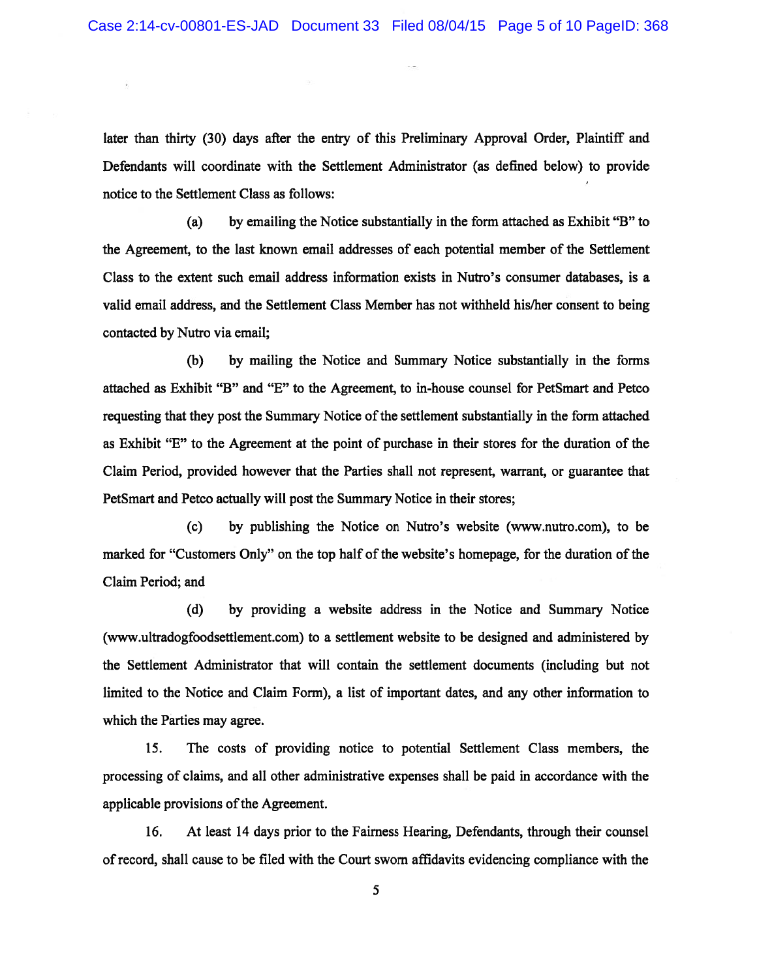later than thirty (30) days after the entry of this Preliminary Approval Order, Plaintiff and Defendants will coordinate with the Settlement Administrator (as defined below) to provide notice to the Settlement Class as follows:

(a) by emailing the Notice substantially in the form attached as Exhibit "B" to the Agreement, to the last known email addresses of each potential member of the Settlement Class to the extent such email address information exists in Nutro's consumer databases, is <sup>a</sup> valid email address, and the Settlement Class Member has not withheld his/her consent to being contacted by Nutro via email;

(b) by mailing the Notice and Summary Notice substantially in the forms attached as Exhibit "B" and "E" to the Agreement, to in-house counsel for PetSmart and Petco requesting that they post the Summary Notice of the settlement substantially in the form attached as Exhibit "E" to the Agreement at the point of purchase in their stores for the duration of the Claim Period, provided however that the Parties shall not represent, warrant, or guarantee that PetSmart and Petco actually will pos<sup>t</sup> the Summary Notice in their stores;

(c) by publishing the Notice on Nutro's website (www.nutro.com), to be marked for "Customers Only" on the top half of the website's homepage, for the duration of the Claim Period; and

(d) by providing <sup>a</sup> website address in the Notice and Summary Notice (www.ultradogfoodsettlement.com) to <sup>a</sup> settlement website to be designed and administered by the Settlement Administrator that will contain the settlement documents (including but not limited to the Notice and Claim Form), <sup>a</sup> list of important dates, and any other information to which the Parties may agree.

15. The costs of providing notice to potential Settlement Class members, the processing of claims, and all other administrative expenses shall be paid in accordance with the applicable provisions of the Agreement.

16. At least 14 days prior to the Fairness Hearing, Defendants, through their counsel ofrecord, shall cause to be filed with the Court sworn affidavits evidencing compliance with the

5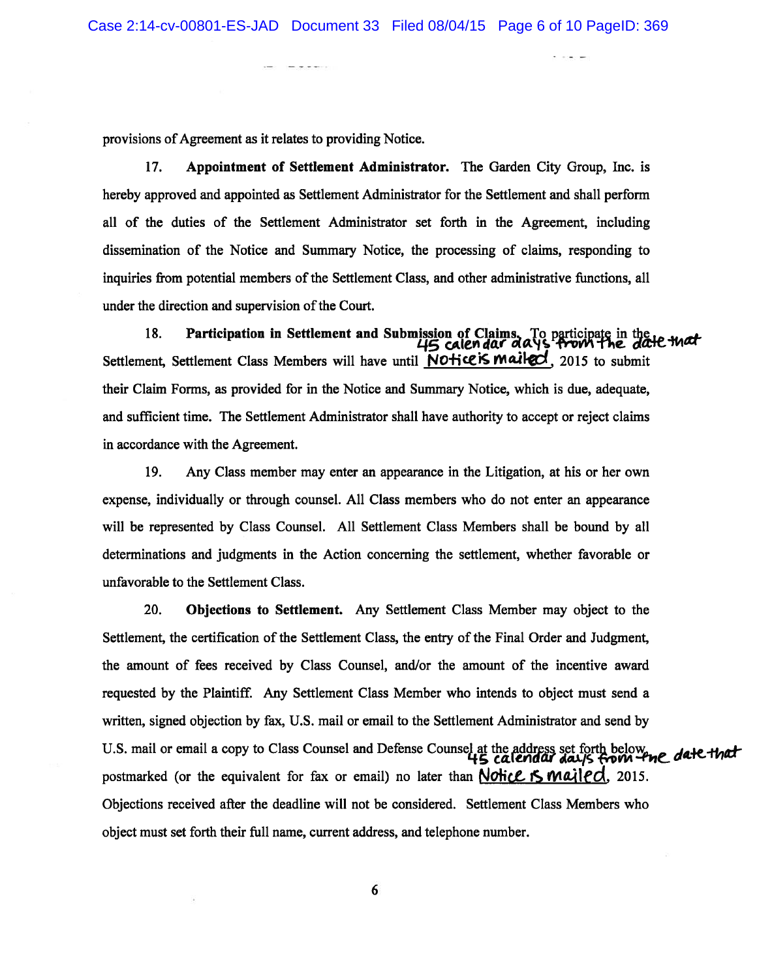provisions of Agreement as it relates to providing Notice.

17. Appointment of Settlement Administrator. The Garden City Group, Inc. is hereby approved and appointed as Settlement Administrator for the Settlement and shall perform all of the duties of the Settlement Administrator set forth in the Agreement, including dissemination of the Notice and Summary Notice, the processing of claims, responding to inquiries from potential members of the Settlement Class, and other administrative functions, all under the direction and supervision of the Court.

18. Participation in Settlement and Submission of Claims. To participate in the 145 calendar days from the date that Settlement, Settlement Class Members will have until NOHice is mailed, 2015 to submit their Claim Forms, as provided for in the Notice and Summary Notice, which is due, adequate, and sufficient time. The Settlement Administrator shall have authority to accep<sup>t</sup> or reject claims in accordance with the Agreement.

19. Any Class member may enter an appearance in the Litigation, at his or her own expense, individually or through counsel. All Class members who do not enter an appearance will be represented by Class Counsel. All Settlement Class Members shall be bound by all determinations and judgments in the Action concerning the settlement, whether favorable or unfavorable to the Settlement Class.

20. Objections to Settlement. Any Settlement Class Member may object to the Settlement, the certification of the Settlement Class, the entry of the Final Order and Judgment, the amount of fees received by Class Counsel, and/or the amount of the incentive award requested by the Plaintiff. Any Settlement Class Member who intends to object must send <sup>a</sup> written, signed objection by fax, U.S. mail or email to the Settlement Administrator and send by U.S. mail or email a copy to Class Counsel and Defense Counsel at the address set forth below , date that postmarked (or the equivalent for fax or email) no later than  $N$ *ohicl* is mail ed. 2015. Objections received after the deadline will not be considered. Settlement Class Members who object must set forth their full name, current address, and telephone number.

6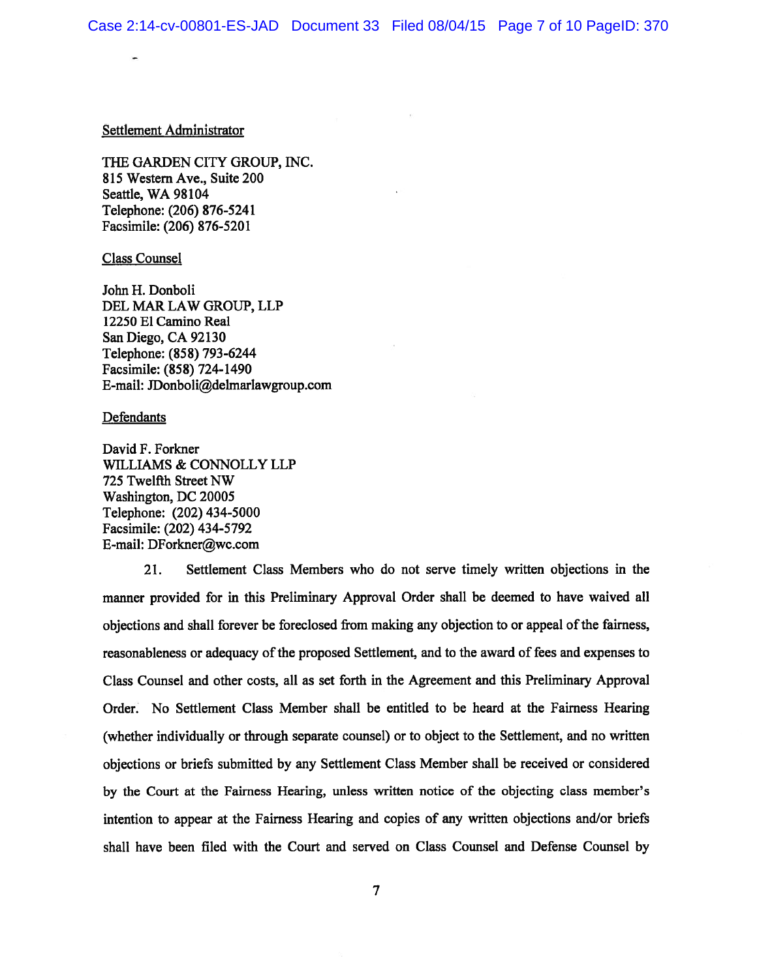### Settlement Administrator

THE GARDEN CITY GROUP, INC. 815 Western Ave., Suite 200 Seattle, WA 98104 Telephone: (206) 876-5241 Facsimile: (206) 876-5201

## Class Counsel

John H. Donboli DEL MAR LAW GROUP, LLP 12250 El Camino Real San Diego, CA 92130 Telephone: (858) 793-6244 Facsimile: (858) 724-1490 E-mail: JDonboli@delmarlawgroup.com

#### **Defendants**

David F. Forkner WILLIAMS & CONNOLLY LLP 725 Twelfth Street NW Washington, DC 20005 Telephone: (202) 434-5000 Facsimile: (202) 434-5792 E-mail: DForkner@wc.com

21. Settlement Class Members who do not serve timely written objections in the manner provided for in this Preliminary Approval Order shall be deemed to have waived all objections and shall forever be foreclosed from making any objection to or appeal of the fairness, reasonableness or adequacy of the proposed Settlement, and to the award of fees and expenses to Class Counsel and other costs, all as set forth in the Agreement and this Preliminary Approval Order. No Settlement Class Member shall be entitled to be heard at the Fairness Hearing (whether individually or through separate counsel) or to object to the Settlement, and no written objections or briefs submitted by any Settlement Class Member shall be received or considered by the Court at the Fairness Hearing, unless written notice of the objecting class member's intention to appear at the Fairness Hearing and copies of any written objections and/or briefs shall have been filed with the Court and served on Class Counsel and Defense Counsel by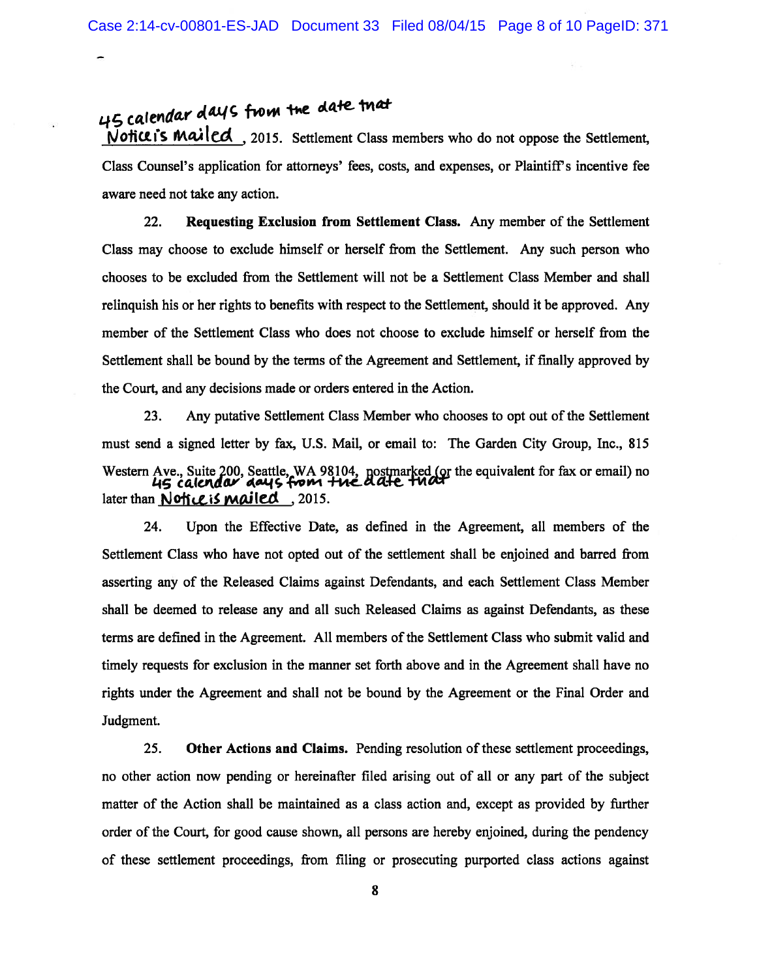45 calendar days from the date that<br>Notice is mailed. 2015. Settlement Class members who do not oppose the Settlement, Class Counsel's application for attorneys' fees, costs, and expenses, or Plaintiffs incentive fee aware need not take any action.

22. Requesting Exclusion from Settlement Class. Any member of the Settlement Class may choose to exclude himself or herself from the Settlement. Any such person who chooses to be excluded from the Settlement will not be <sup>a</sup> Settlement Class Member and shall relinquish his or her rights to benefits with respec<sup>t</sup> to the Settlement, should it be approved. Any member of the Settlement Class who does not choose to exclude himself or herself from the Settlement shall be bound by the terms of the Agreement and Settlement, if finally approved by the Court, and any decisions made or orders entered in the Action.

23. Any putative Settlement Class Member who chooses to op<sup>t</sup> out of the Settlement must send <sup>a</sup> signed letter by fax, U.S. Mail, or email to: The Garden City Group, Inc., 815 Western Ave., Suite 200, Seattle, WA 98104,  $po$ stmarked (or the equivalent for fax or email) no 45 calendar days from the date that later than **Notice is mailed**, 2015.

24. Upon the Effective Date, as defined in the Agreement, all members of the Settlement Class who have not opted out of the settlement shall be enjoined and barred from asserting any of the Released Claims against Defendants, and each Settlement Class Member shall be deemed to release any and all such Released Claims as against Defendants, as these terms are defined in the Agreement. All members ofthe Settlement Class who submit valid and timely requests for exclusion in the manner set forth above and in the Agreement shall have no rights under the Agreement and shall not be bound by the Agreement or the Final Order and Judgment.

25. Other Actions and Claims. Pending resolution of these settlement proceedings, no other action now pending or hereinafter filed arising out of all or any par<sup>t</sup> of the subject matter of the Action shall be maintained as <sup>a</sup> class action and, excep<sup>t</sup> as provided by further order of the Court, for good cause shown, all persons are hereby enjoined, during the pendency of these settlement proceedings, from filing or prosecuting purported class actions against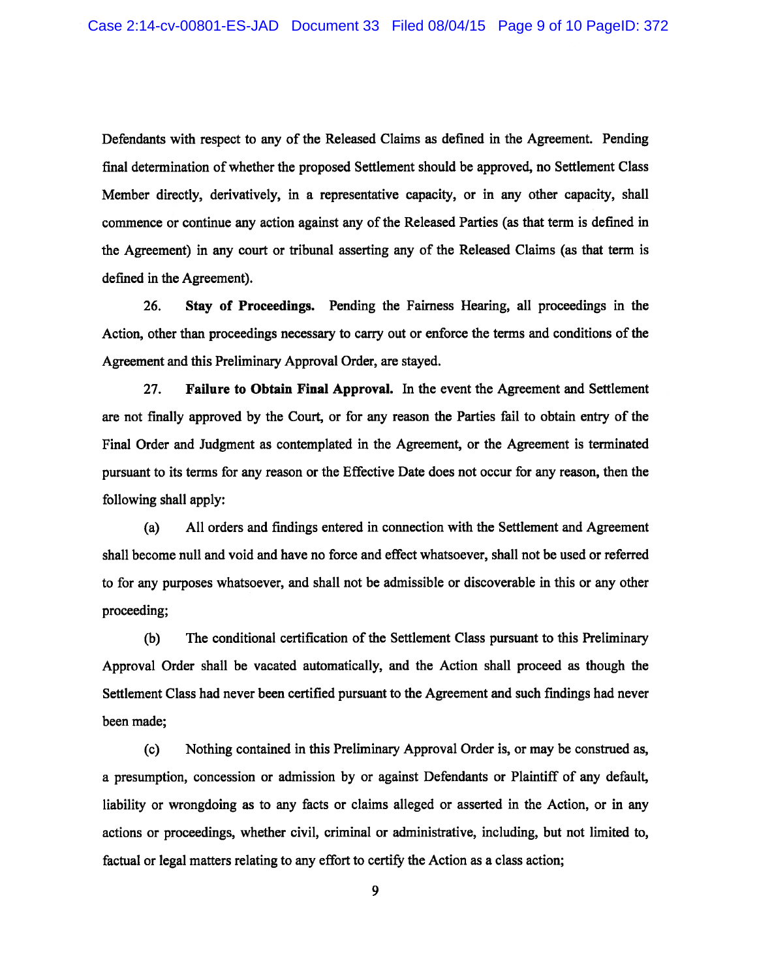Defendants with respec<sup>t</sup> to any of the Released Claims as defined in the Agreement. Pending final determination of whether the proposed Settlement should be approved, no Settlement Class Member directly, derivatively, in <sup>a</sup> representative capacity, or in any other capacity, shall commence or continue any action against any of the Released Parties (as that term is defined in the Agreement) in any court or tribunal asserting any of the Released Claims (as that term is defined in the Agreement).

26. Stay of Proceedings. Pending the Fairness Hearing, all proceedings in the Action, other than proceedings necessary to carry out or enforce the terms and conditions of the Agreement and this Preliminary Approval Order, are stayed.

27. Failure to Obtain Final Approval. In the event the Agreement and Settlement are not finally approved by the Court, or for any reason the Parties fail to obtain entry of the Final Order and Judgment as contemplated in the Agreement, or the Agreement is terminated pursuan<sup>t</sup> to its terms for any reason or the Effective Date does not occur for any reason, then the following shall apply:

(a) All orders and findings entered in connection with the Settlement and Agreement shall become null and void and have no force and effect whatsoever, shall not be used or referred to for any purposes whatsoever, and shall not be admissible or discoverable in this or any other proceeding;

(b) The conditional certification of the Settlement Class pursuan<sup>t</sup> to this Preliminary Approval Order shall be vacated automatically, and the Action shall proceed as though the Settlement Class had never been certified pursuan<sup>t</sup> to the Agreement and such findings had never been made;

(c) Nothing contained in this Preliminary Approval Order is, or may be construed as, <sup>a</sup> presumption, concession or admission by or against Defendants or Plaintiff of any default, liability or wrongdoing as to any facts or claims alleged or asserted in the Action, or in any actions or proceedings, whether civil, criminal or administrative, including, but not limited to, factual or legal matters relating to any effort to certify the Action as <sup>a</sup> class action;